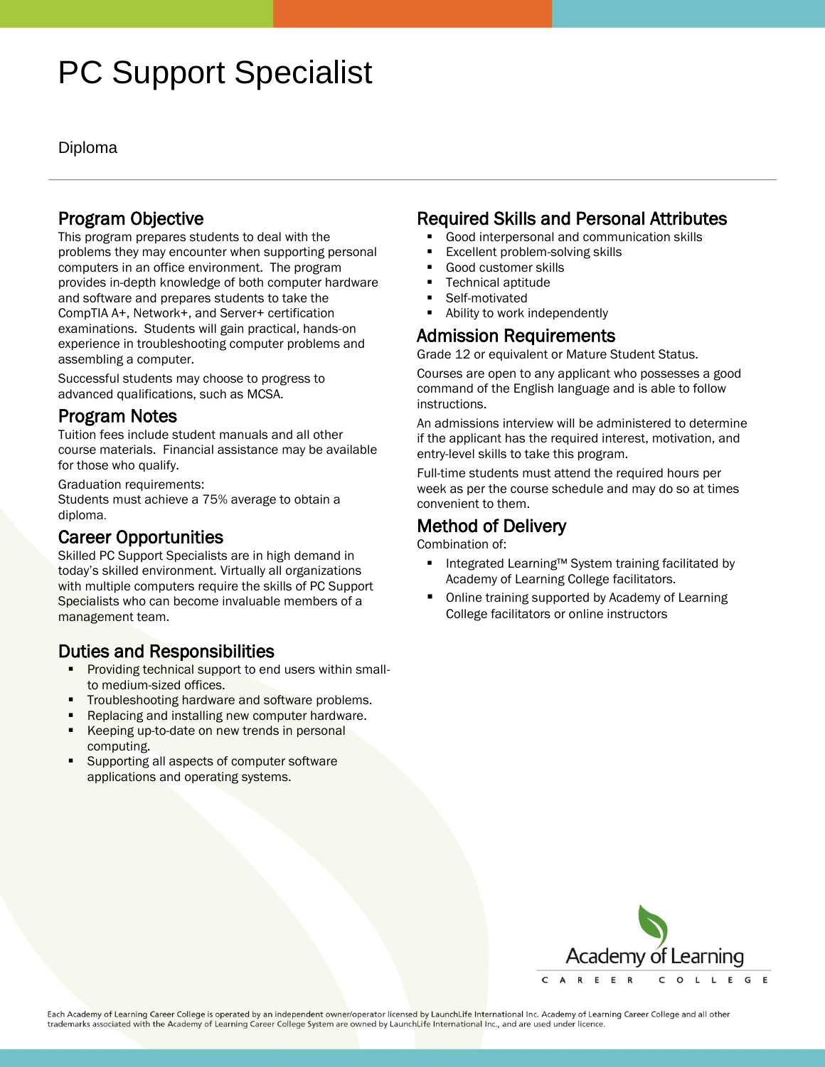# PC Support Specialist

Diploma

#### Program Objective

This program prepares students to deal with the problems they may encounter when supporting personal computers in an office environment. The program provides in-depth knowledge of both computer hardware and software and prepares students to take the CompTIA A+, Network+, and Server+ certification examinations. Students will gain practical, hands-on experience in troubleshooting computer problems and assembling a computer.

Successful students may choose to progress to advanced qualifications, such as MCSA.

#### Program Notes

Tuition fees include student manuals and all other course materials. Financial assistance may be available for those who qualify.

Graduation requirements: Students must achieve a 75% average to obtain a diploma.

#### Career Opportunities

Skilled PC Support Specialists are in high demand in today's skilled environment. Virtually all organizations with multiple computers require the skills of PC Support Specialists who can become invaluable members of a management team.

### Duties and Responsibilities

- **Providing technical support to end users within small**to medium-sized offices.
- Troubleshooting hardware and software problems.
- Replacing and installing new computer hardware.
- Keeping up-to-date on new trends in personal computing.
- Supporting all aspects of computer software applications and operating systems.

#### Required Skills and Personal Attributes

- Good interpersonal and communication skills
- Excellent problem-solving skills
- Good customer skills
- Technical aptitude
- Self-motivated
- Ability to work independently

#### Admission Requirements

Grade 12 or equivalent or Mature Student Status.

Courses are open to any applicant who possesses a good command of the English language and is able to follow instructions.

An admissions interview will be administered to determine if the applicant has the required interest, motivation, and entry-level skills to take this program.

Full-time students must attend the required hours per week as per the course schedule and may do so at times convenient to them.

#### Method of Delivery

Combination of:

- Integrated Learning™ System training facilitated by Academy of Learning College facilitators.
- Online training supported by Academy of Learning College facilitators or online instructors